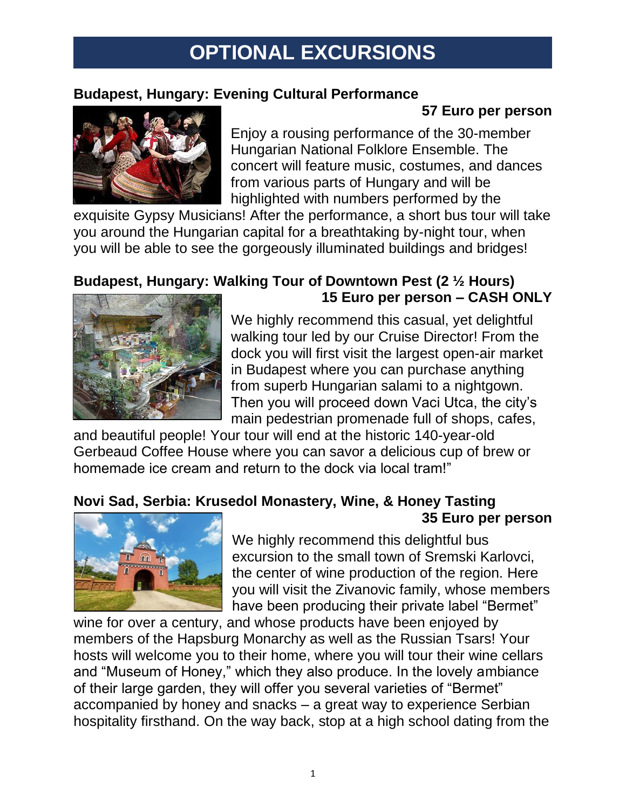# **OPTIONAL EXCURSIONS**

### **Budapest, Hungary: Evening Cultural Performance**

## **57 Euro per person**



Enjoy a rousing performance of the 30-member Hungarian National Folklore Ensemble. The concert will feature music, costumes, and dances from various parts of Hungary and will be highlighted with numbers performed by the

exquisite Gypsy Musicians! After the performance, a short bus tour will take you around the Hungarian capital for a breathtaking by-night tour, when you will be able to see the gorgeously illuminated buildings and bridges!

### **Budapest, Hungary: Walking Tour of Downtown Pest (2 ½ Hours) 15 Euro per person – CASH ONLY**



We highly recommend this casual, yet delightful walking tour led by our Cruise Director! From the dock you will first visit the largest open-air market in Budapest where you can purchase anything from superb Hungarian salami to a nightgown. Then you will proceed down Vaci Utca, the city's main pedestrian promenade full of shops, cafes,

and beautiful people! Your tour will end at the historic 140-year-old Gerbeaud Coffee House where you can savor a delicious cup of brew or homemade ice cream and return to the dock via local tram!"

#### **Novi Sad, Serbia: Krusedol Monastery, Wine, & Honey Tasting 35 Euro per person**



We highly recommend this delightful bus excursion to the small town of Sremski Karlovci, the center of wine production of the region. Here you will visit the Zivanovic family, whose members have been producing their private label "Bermet"

wine for over a century, and whose products have been enjoyed by members of the Hapsburg Monarchy as well as the Russian Tsars! Your hosts will welcome you to their home, where you will tour their wine cellars and "Museum of Honey," which they also produce. In the lovely ambiance of their large garden, they will offer you several varieties of "Bermet" accompanied by honey and snacks – a great way to experience Serbian hospitality firsthand. On the way back, stop at a high school dating from the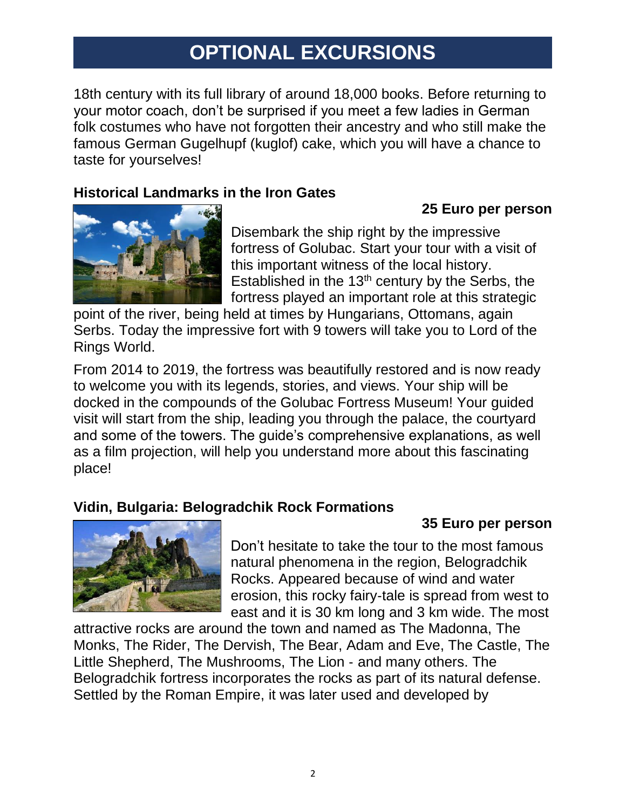# **OPTIONAL EXCURSIONS**

18th century with its full library of around 18,000 books. Before returning to your motor coach, don't be surprised if you meet a few ladies in German folk costumes who have not forgotten their ancestry and who still make the famous German Gugelhupf (kuglof) cake, which you will have a chance to taste for yourselves!

#### **Historical Landmarks in the Iron Gates**

#### **25 Euro per person**

**35 Euro per person**



Disembark the ship right by the impressive fortress of Golubac. Start your tour with a visit of this important witness of the local history. Established in the  $13<sup>th</sup>$  century by the Serbs, the fortress played an important role at this strategic

point of the river, being held at times by Hungarians, Ottomans, again Serbs. Today the impressive fort with 9 towers will take you to Lord of the Rings World.

From 2014 to 2019, the fortress was beautifully restored and is now ready to welcome you with its legends, stories, and views. Your ship will be docked in the compounds of the Golubac Fortress Museum! Your guided visit will start from the ship, leading you through the palace, the courtyard and some of the towers. The guide's comprehensive explanations, as well as a film projection, will help you understand more about this fascinating place!

### **Vidin, Bulgaria: Belogradchik Rock Formations**



Don't hesitate to take the tour to the most famous natural phenomena in the region, Belogradchik Rocks. Appeared because of wind and water erosion, this rocky fairy‐tale is spread from west to east and it is 30 km long and 3 km wide. The most

attractive rocks are around the town and named as The Madonna, The Monks, The Rider, The Dervish, The Bear, Adam and Eve, The Castle, The Little Shepherd, The Mushrooms, The Lion ‐ and many others. The Belogradchik fortress incorporates the rocks as part of its natural defense. Settled by the Roman Empire, it was later used and developed by